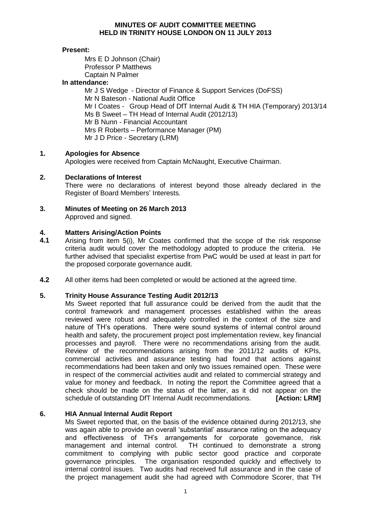### **MINUTES OF AUDIT COMMITTEE MEETING HELD IN TRINITY HOUSE LONDON ON 11 JULY 2013**

### **Present:**

Mrs E D Johnson (Chair) Professor P Matthews Captain N Palmer

### **In attendance:**

Mr J S Wedge - Director of Finance & Support Services (DoFSS) Mr N Bateson - National Audit Office Mr I Coates - Group Head of DfT Internal Audit & TH HIA (Temporary) 2013/14 Ms B Sweet – TH Head of Internal Audit (2012/13) Mr B Nunn - Financial Accountant Mrs R Roberts – Performance Manager (PM) Mr J D Price - Secretary (LRM)

#### **1. Apologies for Absence**

Apologies were received from Captain McNaught, Executive Chairman.

#### **2. Declarations of Interest**

There were no declarations of interest beyond those already declared in the Register of Board Members' Interests.

### **3. Minutes of Meeting on 26 March 2013**

Approved and signed.

#### **4. Matters Arising/Action Points**

- **4.1** Arising from item 5(i), Mr Coates confirmed that the scope of the risk response criteria audit would cover the methodology adopted to produce the criteria. He further advised that specialist expertise from PwC would be used at least in part for the proposed corporate governance audit.
- **4.2** All other items had been completed or would be actioned at the agreed time.

#### **5. Trinity House Assurance Testing Audit 2012/13**

Ms Sweet reported that full assurance could be derived from the audit that the control framework and management processes established within the areas reviewed were robust and adequately controlled in the context of the size and nature of TH's operations. There were sound systems of internal control around health and safety, the procurement project post implementation review, key financial processes and payroll. There were no recommendations arising from the audit. Review of the recommendations arising from the 2011/12 audits of KPIs, commercial activities and assurance testing had found that actions against recommendations had been taken and only two issues remained open. These were in respect of the commercial activities audit and related to commercial strategy and value for money and feedback. In noting the report the Committee agreed that a check should be made on the status of the latter, as it did not appear on the schedule of outstanding DfT Internal Audit recommendations. **[Action: LRM]**

#### **6. HIA Annual Internal Audit Report**

Ms Sweet reported that, on the basis of the evidence obtained during 2012/13, she was again able to provide an overall 'substantial' assurance rating on the adequacy and effectiveness of TH's arrangements for corporate governance, risk management and internal control. TH continued to demonstrate a strong commitment to complying with public sector good practice and corporate governance principles. The organisation responded quickly and effectively to internal control issues. Two audits had received full assurance and in the case of the project management audit she had agreed with Commodore Scorer, that TH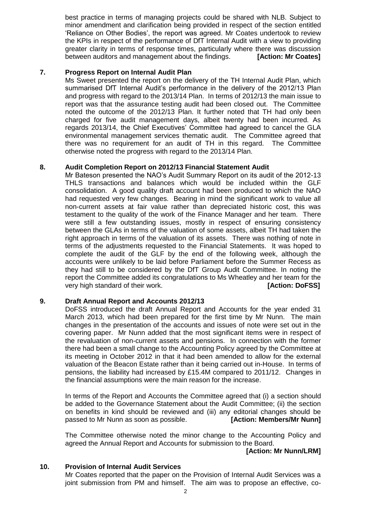best practice in terms of managing projects could be shared with NLB. Subject to minor amendment and clarification being provided in respect of the section entitled 'Reliance on Other Bodies', the report was agreed. Mr Coates undertook to review the KPIs in respect of the performance of DfT Internal Audit with a view to providing greater clarity in terms of response times, particularly where there was discussion between auditors and management about the findings. **[Action: Mr Coates]**

#### **7. Progress Report on Internal Audit Plan**

Ms Sweet presented the report on the delivery of the TH Internal Audit Plan, which summarised DfT Internal Audit's performance in the delivery of the 2012/13 Plan and progress with regard to the 2013/14 Plan. In terms of 2012/13 the main issue to report was that the assurance testing audit had been closed out. The Committee noted the outcome of the 2012/13 Plan. It further noted that TH had only been charged for five audit management days, albeit twenty had been incurred. As regards 2013/14, the Chief Executives' Committee had agreed to cancel the GLA environmental management services thematic audit. The Committee agreed that there was no requirement for an audit of TH in this regard. The Committee otherwise noted the progress with regard to the 2013/14 Plan.

#### **8. Audit Completion Report on 2012/13 Financial Statement Audit**

Mr Bateson presented the NAO's Audit Summary Report on its audit of the 2012-13 THLS transactions and balances which would be included within the GLF consolidation. A good quality draft account had been produced to which the NAO had requested very few changes. Bearing in mind the significant work to value all non-current assets at fair value rather than depreciated historic cost, this was testament to the quality of the work of the Finance Manager and her team. There were still a few outstanding issues, mostly in respect of ensuring consistency between the GLAs in terms of the valuation of some assets, albeit TH had taken the right approach in terms of the valuation of its assets. There was nothing of note in terms of the adjustments requested to the Financial Statements. It was hoped to complete the audit of the GLF by the end of the following week, although the accounts were unlikely to be laid before Parliament before the Summer Recess as they had still to be considered by the DfT Group Audit Committee. In noting the report the Committee added its congratulations to Ms Wheatley and her team for the very high standard of their work. *IACTION: DOFSSI IACTION: DOFSSI* 

#### **9. Draft Annual Report and Accounts 2012/13**

DoFSS introduced the draft Annual Report and Accounts for the year ended 31 March 2013, which had been prepared for the first time by Mr Nunn. The main changes in the presentation of the accounts and issues of note were set out in the covering paper. Mr Nunn added that the most significant items were in respect of the revaluation of non-current assets and pensions. In connection with the former there had been a small change to the Accounting Policy agreed by the Committee at its meeting in October 2012 in that it had been amended to allow for the external valuation of the Beacon Estate rather than it being carried out in-House. In terms of pensions, the liability had increased by £15.4M compared to 2011/12. Changes in the financial assumptions were the main reason for the increase.

In terms of the Report and Accounts the Committee agreed that (i) a section should be added to the Governance Statement about the Audit Committee; (ii) the section on benefits in kind should be reviewed and (iii) any editorial changes should be passed to Mr Nunn as soon as possible. **[Action: Members/Mr Nunn]**

The Committee otherwise noted the minor change to the Accounting Policy and agreed the Annual Report and Accounts for submission to the Board.

## **[Action: Mr Nunn/LRM]**

#### **10. Provision of Internal Audit Services**

Mr Coates reported that the paper on the Provision of Internal Audit Services was a joint submission from PM and himself. The aim was to propose an effective, co-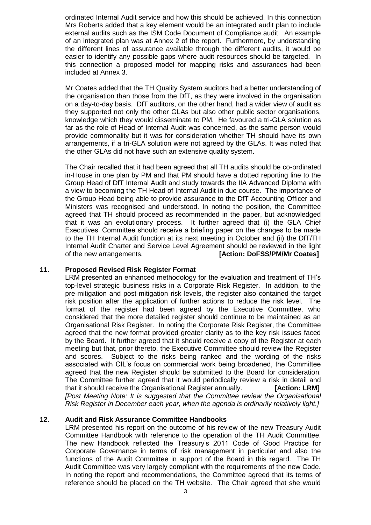ordinated Internal Audit service and how this should be achieved. In this connection Mrs Roberts added that a key element would be an integrated audit plan to include external audits such as the ISM Code Document of Compliance audit. An example of an integrated plan was at Annex 2 of the report. Furthermore, by understanding the different lines of assurance available through the different audits, it would be easier to identify any possible gaps where audit resources should be targeted. In this connection a proposed model for mapping risks and assurances had been included at Annex 3.

Mr Coates added that the TH Quality System auditors had a better understanding of the organisation than those from the DfT, as they were involved in the organisation on a day-to-day basis. DfT auditors, on the other hand, had a wider view of audit as they supported not only the other GLAs but also other public sector organisations, knowledge which they would disseminate to PM. He favoured a tri-GLA solution as far as the role of Head of Internal Audit was concerned, as the same person would provide commonality but it was for consideration whether TH should have its own arrangements, if a tri-GLA solution were not agreed by the GLAs. It was noted that the other GLAs did not have such an extensive quality system.

The Chair recalled that it had been agreed that all TH audits should be co-ordinated in-House in one plan by PM and that PM should have a dotted reporting line to the Group Head of DfT Internal Audit and study towards the IIA Advanced Diploma with a view to becoming the TH Head of Internal Audit in due course. The importance of the Group Head being able to provide assurance to the DfT Accounting Officer and Ministers was recognised and understood. In noting the position, the Committee agreed that TH should proceed as recommended in the paper, but acknowledged that it was an evolutionary process. It further agreed that (i) the GLA Chief Executives' Committee should receive a briefing paper on the changes to be made to the TH Internal Audit function at its next meeting in October and (ii) the DfT/TH Internal Audit Charter and Service Level Agreement should be reviewed in the light of the new arrangements. **[Action: DoFSS/PM/Mr Coates]**

#### **11. Proposed Revised Risk Register Format**

LRM presented an enhanced methodology for the evaluation and treatment of TH's top-level strategic business risks in a Corporate Risk Register. In addition, to the pre-mitigation and post-mitigation risk levels, the register also contained the target risk position after the application of further actions to reduce the risk level. The format of the register had been agreed by the Executive Committee, who considered that the more detailed register should continue to be maintained as an Organisational Risk Register. In noting the Corporate Risk Register, the Committee agreed that the new format provided greater clarity as to the key risk issues faced by the Board. It further agreed that it should receive a copy of the Register at each meeting but that, prior thereto, the Executive Committee should review the Register and scores. Subject to the risks being ranked and the wording of the risks associated with CIL's focus on commercial work being broadened, the Committee agreed that the new Register should be submitted to the Board for consideration. The Committee further agreed that it would periodically review a risk in detail and that it should receive the Organisational Register annually. **[Action: LRM]** *[Post Meeting Note: It is suggested that the Committee review the Organisational Risk Register in December each year, when the agenda is ordinarily relatively light.]*

#### **12. Audit and Risk Assurance Committee Handbooks**

LRM presented his report on the outcome of his review of the new Treasury Audit Committee Handbook with reference to the operation of the TH Audit Committee. The new Handbook reflected the Treasury's 2011 Code of Good Practice for Corporate Governance in terms of risk management in particular and also the functions of the Audit Committee in support of the Board in this regard. The TH Audit Committee was very largely compliant with the requirements of the new Code. In noting the report and recommendations, the Committee agreed that its terms of reference should be placed on the TH website. The Chair agreed that she would